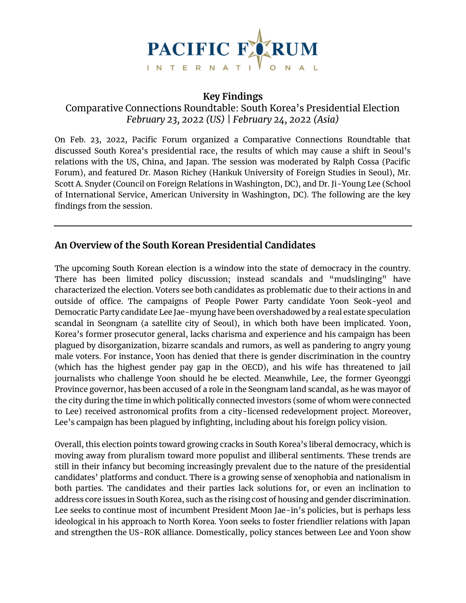

### **Key Findings**

Comparative Connections Roundtable: South Korea's Presidential Election *February 23, 2022 (US) | February 24, 2022 (Asia)*

On Feb. 23, 2022, Pacific Forum organized a Comparative Connections Roundtable that discussed South Korea's presidential race, the results of which may cause a shift in Seoul's relations with the US, China, and Japan. The session was moderated by Ralph Cossa (Pacific Forum), and featured Dr. Mason Richey (Hankuk University of Foreign Studies in Seoul), Mr. Scott A. Snyder (Council on Foreign Relations in Washington, DC), and Dr. Ji-Young Lee (School of International Service, American University in Washington, DC). The following are the key findings from the session.

## **An Overview of the South Korean Presidential Candidates**

The upcoming South Korean election is a window into the state of democracy in the country. There has been limited policy discussion; instead scandals and "mudslinging" have characterized the election. Voters see both candidates as problematic due to their actions in and outside of office. The campaigns of People Power Party candidate Yoon Seok-yeol and Democratic Party candidate Lee Jae-myung have been overshadowed by a real estate speculation scandal in Seongnam (a satellite city of Seoul), in which both have been implicated. Yoon, Korea's former prosecutor general, lacks charisma and experience and his campaign has been plagued by disorganization, bizarre scandals and rumors, as well as pandering to angry young male voters. For instance, Yoon has denied that there is gender discrimination in the country (which has the highest gender pay gap in the OECD), and his wife has threatened to jail journalists who challenge Yoon should he be elected. Meanwhile, Lee, the former Gyeonggi Province governor, has been accused of a role in the Seongnam land scandal, as he was mayor of the city during the time in which politically connected investors (some of whom were connected to Lee) received astronomical profits from a city-licensed redevelopment project. Moreover, Lee's campaign has been plagued by infighting, including about his foreign policy vision.

Overall, this election points toward growing cracks in South Korea's liberal democracy, which is moving away from pluralism toward more populist and illiberal sentiments. These trends are still in their infancy but becoming increasingly prevalent due to the nature of the presidential candidates' platforms and conduct. There is a growing sense of xenophobia and nationalism in both parties. The candidates and their parties lack solutions for, or even an inclination to address core issues in South Korea, such as the rising cost of housing and gender discrimination. Lee seeks to continue most of incumbent President Moon Jae-in's policies, but is perhaps less ideological in his approach to North Korea. Yoon seeks to foster friendlier relations with Japan and strengthen the US-ROK alliance. Domestically, policy stances between Lee and Yoon show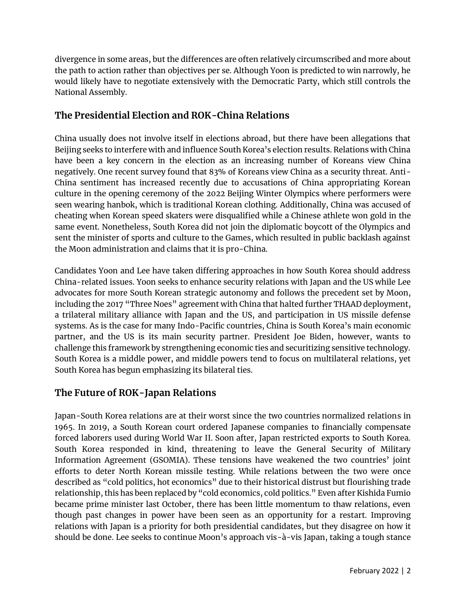divergence in some areas, but the differences are often relatively circumscribed and more about the path to action rather than objectives per se. Although Yoon is predicted to win narrowly, he would likely have to negotiate extensively with the Democratic Party, which still controls the National Assembly.

# **The Presidential Election and ROK-China Relations**

China usually does not involve itself in elections abroad, but there have been allegations that Beijing seeks to interfere with and influence South Korea's election results. Relations with China have been a key concern in the election as an increasing number of Koreans view China negatively. One recent survey found that 83% of Koreans view China as a security threat. Anti-China sentiment has increased recently due to accusations of China appropriating Korean culture in the opening ceremony of the 2022 Beijing Winter Olympics where performers were seen wearing hanbok, which is traditional Korean clothing. Additionally, China was accused of cheating when Korean speed skaters were disqualified while a Chinese athlete won gold in the same event. Nonetheless, South Korea did not join the diplomatic boycott of the Olympics and sent the minister of sports and culture to the Games, which resulted in public backlash against the Moon administration and claims that it is pro-China.

Candidates Yoon and Lee have taken differing approaches in how South Korea should address China-related issues. Yoon seeks to enhance security relations with Japan and the US while Lee advocates for more South Korean strategic autonomy and follows the precedent set by Moon, including the 2017 "Three Noes" agreement with China that halted further THAAD deployment, a trilateral military alliance with Japan and the US, and participation in US missile defense systems. As is the case for many Indo-Pacific countries, China is South Korea's main economic partner, and the US is its main security partner. President Joe Biden, however, wants to challenge this framework by strengthening economic ties and securitizing sensitive technology. South Korea is a middle power, and middle powers tend to focus on multilateral relations, yet South Korea has begun emphasizing its bilateral ties.

## **The Future of ROK-Japan Relations**

Japan-South Korea relations are at their worst since the two countries normalized relations in 1965. In 2019, a South Korean court ordered Japanese companies to financially compensate forced laborers used during World War II. Soon after, Japan restricted exports to South Korea. South Korea responded in kind, threatening to leave the General Security of Military Information Agreement (GSOMIA). These tensions have weakened the two countries' joint efforts to deter North Korean missile testing. While relations between the two were once described as "cold politics, hot economics" due to their historical distrust but flourishing trade relationship, this has been replaced by "cold economics, cold politics." Even after Kishida Fumio became prime minister last October, there has been little momentum to thaw relations, even though past changes in power have been seen as an opportunity for a restart. Improving relations with Japan is a priority for both presidential candidates, but they disagree on how it should be done. Lee seeks to continue Moon's approach vis-à-vis Japan, taking a tough stance